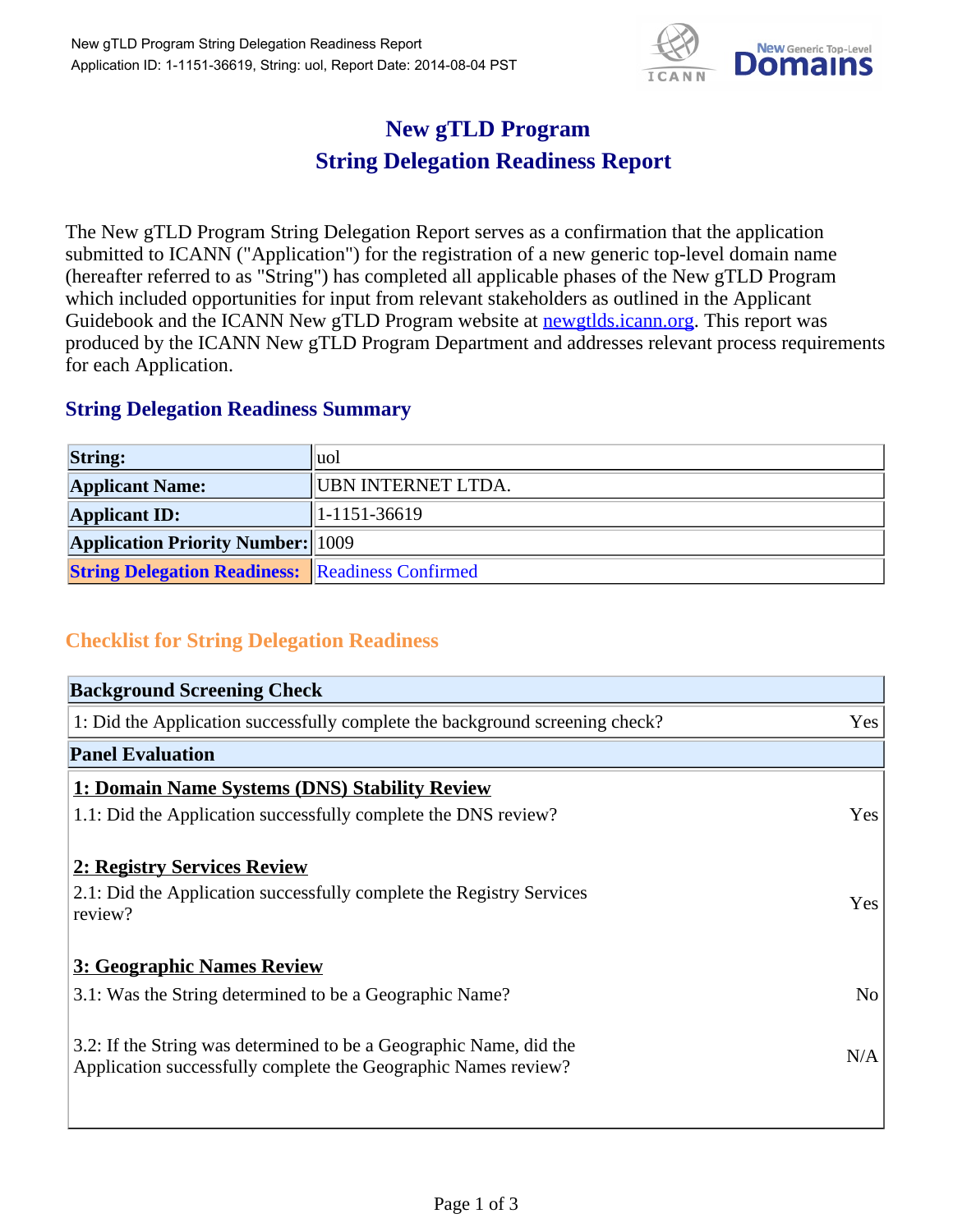

## **New gTLD Program String Delegation Readiness Report**

The New gTLD Program String Delegation Report serves as a confirmation that the application submitted to ICANN ("Application") for the registration of a new generic top-level domain name (hereafter referred to as "String") has completed all applicable phases of the New gTLD Program which included opportunities for input from relevant stakeholders as outlined in the Applicant Guidebook and the ICANN New gTLD Program website at newgtlds.icann.org. This report was produced by the ICANN New gTLD Program Department and addresses relevant process requirements for each Application.

## **String Delegation Readiness Summary**

| <b>String:</b>                                          | ∥uol               |
|---------------------------------------------------------|--------------------|
| <b>Applicant Name:</b>                                  | UBN INTERNET LTDA. |
| <b>Applicant ID:</b>                                    | $ 1-1151-36619 $   |
| <b>Application Priority Number:</b> 1009                |                    |
| <b>String Delegation Readiness: Readiness Confirmed</b> |                    |

## **Checklist for String Delegation Readiness**

| <b>Background Screening Check</b>                                                                                                    |                |
|--------------------------------------------------------------------------------------------------------------------------------------|----------------|
| 1: Did the Application successfully complete the background screening check?                                                         | Yes            |
| <b>Panel Evaluation</b>                                                                                                              |                |
| 1: Domain Name Systems (DNS) Stability Review                                                                                        |                |
| 1.1: Did the Application successfully complete the DNS review?                                                                       | Yes            |
| 2: Registry Services Review                                                                                                          |                |
| 2.1: Did the Application successfully complete the Registry Services<br>review?                                                      | Yes            |
| 3: Geographic Names Review                                                                                                           |                |
| 3.1: Was the String determined to be a Geographic Name?                                                                              | N <sub>o</sub> |
| 3.2: If the String was determined to be a Geographic Name, did the<br>Application successfully complete the Geographic Names review? | N/A            |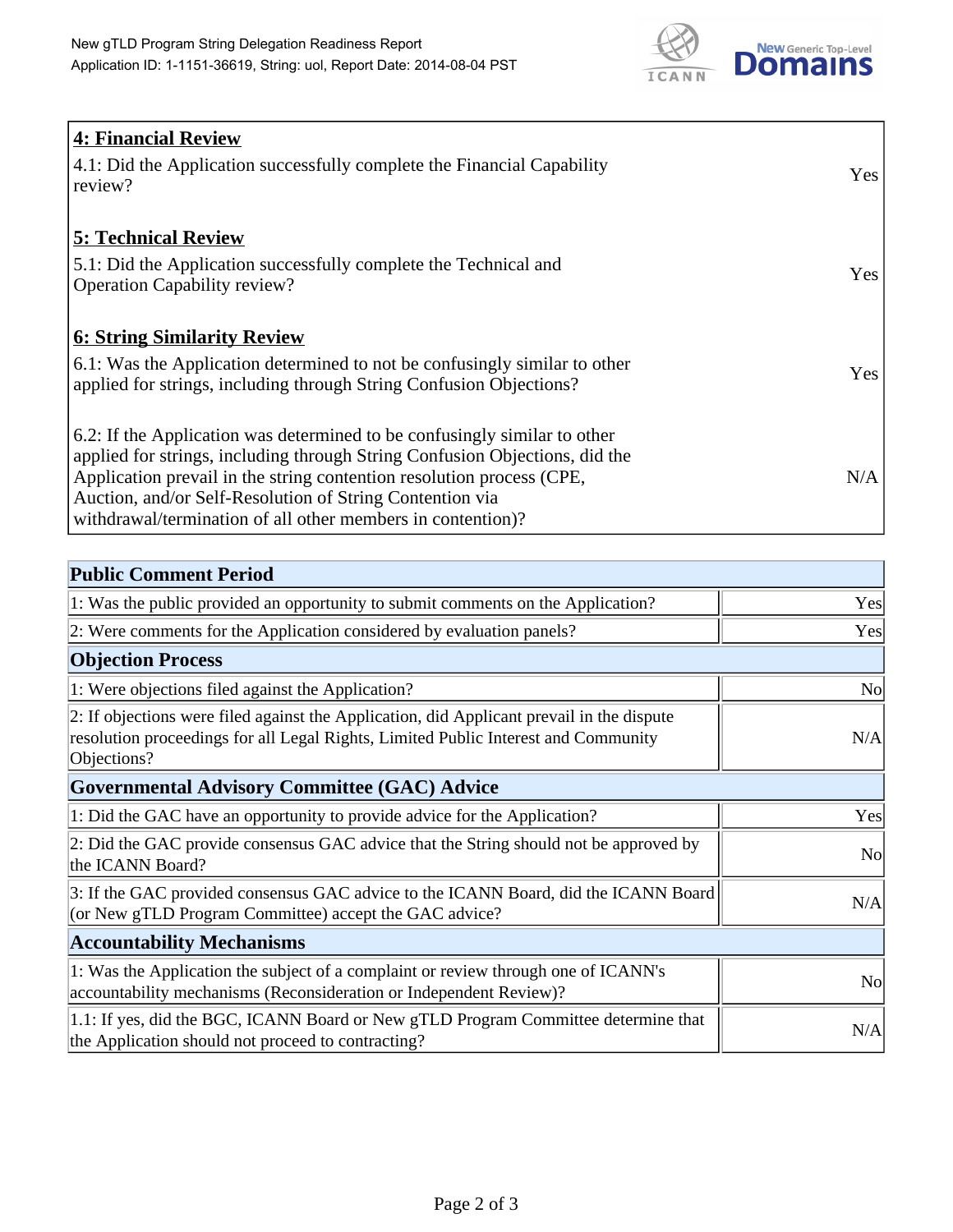

| 4: Financial Review                                                                |            |
|------------------------------------------------------------------------------------|------------|
| $\vert$ 4.1: Did the Application successfully complete the Financial Capability    | Yes        |
| review?                                                                            |            |
| <b>5: Technical Review</b>                                                         |            |
| 5.1: Did the Application successfully complete the Technical and                   | <b>Yes</b> |
| <b>Operation Capability review?</b>                                                |            |
|                                                                                    |            |
| <b>6: String Similarity Review</b>                                                 |            |
| $\vert$ 6.1: Was the Application determined to not be confusingly similar to other | Yes        |
| applied for strings, including through String Confusion Objections?                |            |
| 6.2: If the Application was determined to be confusingly similar to other          |            |
| applied for strings, including through String Confusion Objections, did the        |            |
| Application prevail in the string contention resolution process (CPE,              | N/A        |
| Auction, and/or Self-Resolution of String Contention via                           |            |
| withdrawal/termination of all other members in contention)?                        |            |

| <b>Public Comment Period</b>                                                                                                                                                                   |                |
|------------------------------------------------------------------------------------------------------------------------------------------------------------------------------------------------|----------------|
| 1: Was the public provided an opportunity to submit comments on the Application?                                                                                                               | Yes            |
| 2: Were comments for the Application considered by evaluation panels?                                                                                                                          | Yes            |
| <b>Objection Process</b>                                                                                                                                                                       |                |
| 1: Were objections filed against the Application?                                                                                                                                              | N <sub>0</sub> |
| 2: If objections were filed against the Application, did Applicant prevail in the dispute<br>resolution proceedings for all Legal Rights, Limited Public Interest and Community<br>Objections? | N/A            |
| <b>Governmental Advisory Committee (GAC) Advice</b>                                                                                                                                            |                |
| 1: Did the GAC have an opportunity to provide advice for the Application?                                                                                                                      | Yes            |
| 2: Did the GAC provide consensus GAC advice that the String should not be approved by<br>the ICANN Board?                                                                                      | <b>No</b>      |
| 3: If the GAC provided consensus GAC advice to the ICANN Board, did the ICANN Board<br>(or New gTLD Program Committee) accept the GAC advice?                                                  | N/A            |
| <b>Accountability Mechanisms</b>                                                                                                                                                               |                |
| 1: Was the Application the subject of a complaint or review through one of ICANN's<br>accountability mechanisms (Reconsideration or Independent Review)?                                       | N <sub>0</sub> |
| 1.1: If yes, did the BGC, ICANN Board or New gTLD Program Committee determine that<br>the Application should not proceed to contracting?                                                       | N/A            |